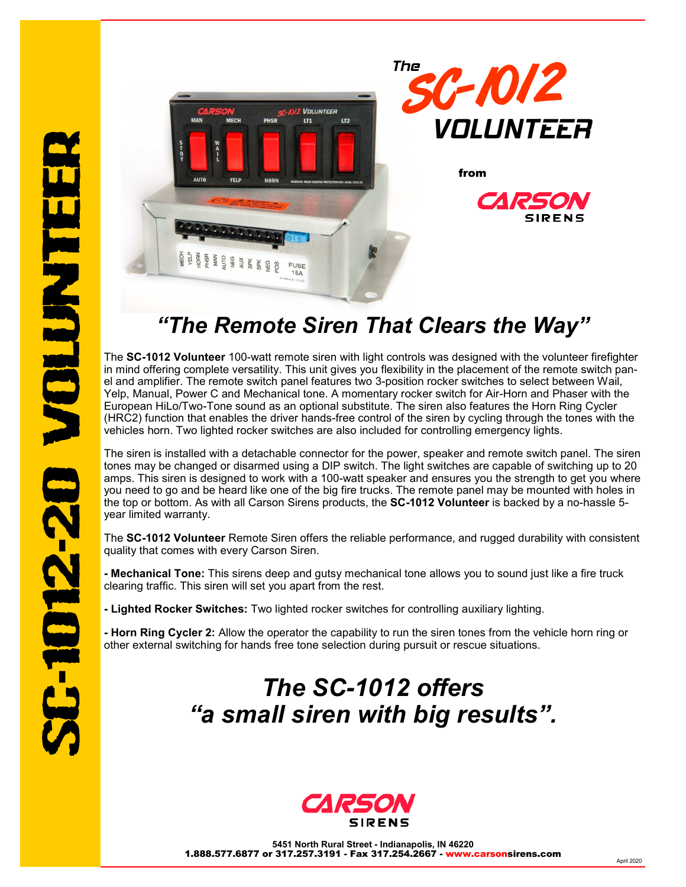

## *"The Remote Siren That Clears the Way"*

The **SC-1012 Volunteer** 100-watt remote siren with light controls was designed with the volunteer firefighter in mind offering complete versatility. This unit gives you flexibility in the placement of the remote switch panel and amplifier. The remote switch panel features two 3-position rocker switches to select between Wail, Yelp, Manual, Power C and Mechanical tone. A momentary rocker switch for Air-Horn and Phaser with the European HiLo/Two-Tone sound as an optional substitute. The siren also features the Horn Ring Cycler (HRC2) function that enables the driver hands-free control of the siren by cycling through the tones with the vehicles horn. Two lighted rocker switches are also included for controlling emergency lights.

The siren is installed with a detachable connector for the power, speaker and remote switch panel. The siren tones may be changed or disarmed using a DIP switch. The light switches are capable of switching up to 20 amps. This siren is designed to work with a 100-watt speaker and ensures you the strength to get you where you need to go and be heard like one of the big fire trucks. The remote panel may be mounted with holes in the top or bottom. As with all Carson Sirens products, the **SC-1012 Volunteer** is backed by a no-hassle 5 year limited warranty.

The **SC-1012 Volunteer** Remote Siren offers the reliable performance, and rugged durability with consistent quality that comes with every Carson Siren.

**- Mechanical Tone:** This sirens deep and gutsy mechanical tone allows you to sound just like a fire truck clearing traffic. This siren will set you apart from the rest.

**- Lighted Rocker Switches:** Two lighted rocker switches for controlling auxiliary lighting.

**- Horn Ring Cycler 2:** Allow the operator the capability to run the siren tones from the vehicle horn ring or other external switching for hands free tone selection during pursuit or rescue situations.

## *The SC-1012 offers "a small siren with big results".*



**5451 North Rural Street - Indianapolis, IN 46220**  1.888.577.6877 or 317.257.3191 - Fax 317.254.2667 - www.carsonsirens.com